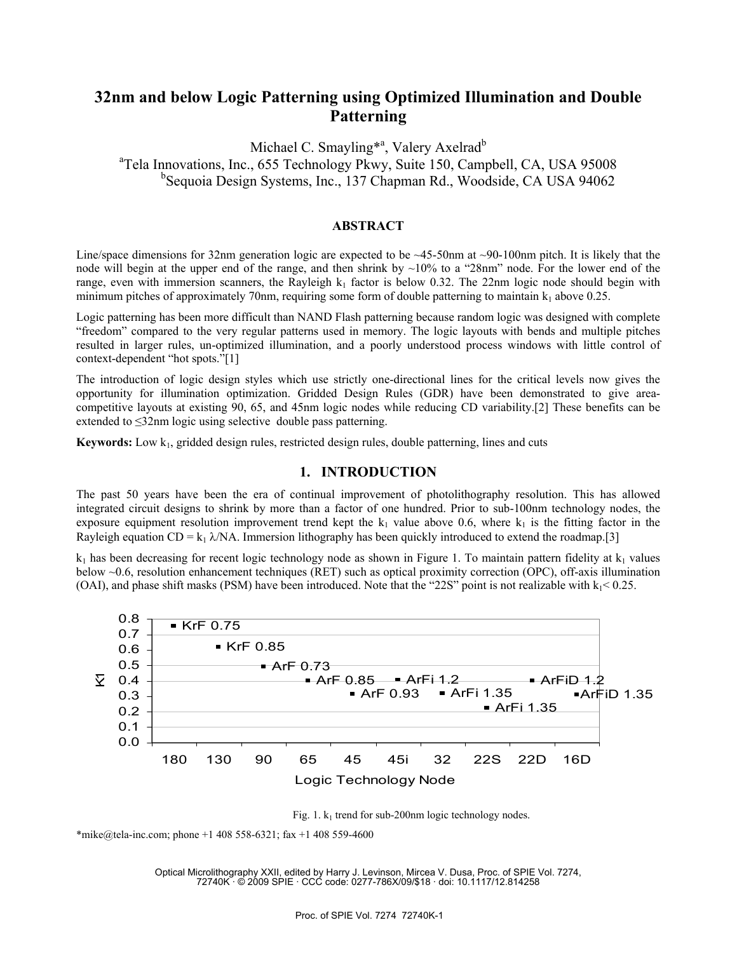# **32nm and below Logic Patterning using Optimized Illumination and Double Patterning**

Michael C. Smayling<sup>\*a</sup>, Valery Axelrad<sup>b</sup> <sup>a</sup>Tela Innovations, Inc., 655 Technology Pkwy, Suite 150, Campbell, CA, USA 95008 <sup>b</sup>Sequoia Design Systems, Inc., 137 Chapman Rd., Woodside, CA USA 94062

### **ABSTRACT**

Line/space dimensions for 32nm generation logic are expected to be  $\sim$ 45-50nm at  $\sim$ 90-100nm pitch. It is likely that the node will begin at the upper end of the range, and then shrink by  $\sim 10\%$  to a "28nm" node. For the lower end of the range, even with immersion scanners, the Rayleigh  $k_1$  factor is below 0.32. The 22nm logic node should begin with minimum pitches of approximately 70nm, requiring some form of double patterning to maintain  $k_1$  above 0.25.

Logic patterning has been more difficult than NAND Flash patterning because random logic was designed with complete "freedom" compared to the very regular patterns used in memory. The logic layouts with bends and multiple pitches resulted in larger rules, un-optimized illumination, and a poorly understood process windows with little control of context-dependent "hot spots."[1]

The introduction of logic design styles which use strictly one-directional lines for the critical levels now gives the opportunity for illumination optimization. Gridded Design Rules (GDR) have been demonstrated to give areacompetitive layouts at existing 90, 65, and 45nm logic nodes while reducing CD variability.[2] These benefits can be extended to ≤32nm logic using selective double pass patterning.

**Keywords:** Low  $k_1$ , gridded design rules, restricted design rules, double patterning, lines and cuts

#### **1. INTRODUCTION**

The past 50 years have been the era of continual improvement of photolithography resolution. This has allowed integrated circuit designs to shrink by more than a factor of one hundred. Prior to sub-100nm technology nodes, the exposure equipment resolution improvement trend kept the  $k_1$  value above 0.6, where  $k_1$  is the fitting factor in the Rayleigh equation CD = k<sub>1</sub>  $\lambda$ /NA. Immersion lithography has been quickly introduced to extend the roadmap.[3]

 $k_1$  has been decreasing for recent logic technology node as shown in Figure 1. To maintain pattern fidelity at  $k_1$  values below ~0.6, resolution enhancement techniques (RET) such as optical proximity correction (OPC), off-axis illumination (OAI), and phase shift masks (PSM) have been introduced. Note that the "22S" point is not realizable with  $k_1$  < 0.25.





\*mike@tela-inc.com; phone +1 408 558-6321; fax +1 408 559-4600

Optical Microlithography XXII, edited by Harry J. Levinson, Mircea V. Dusa, Proc. of SPIE Vol. 7274, 72740K · © 2009 SPIE · CCC code: 0277-786X/09/\$18 · doi: 10.1117/12.814258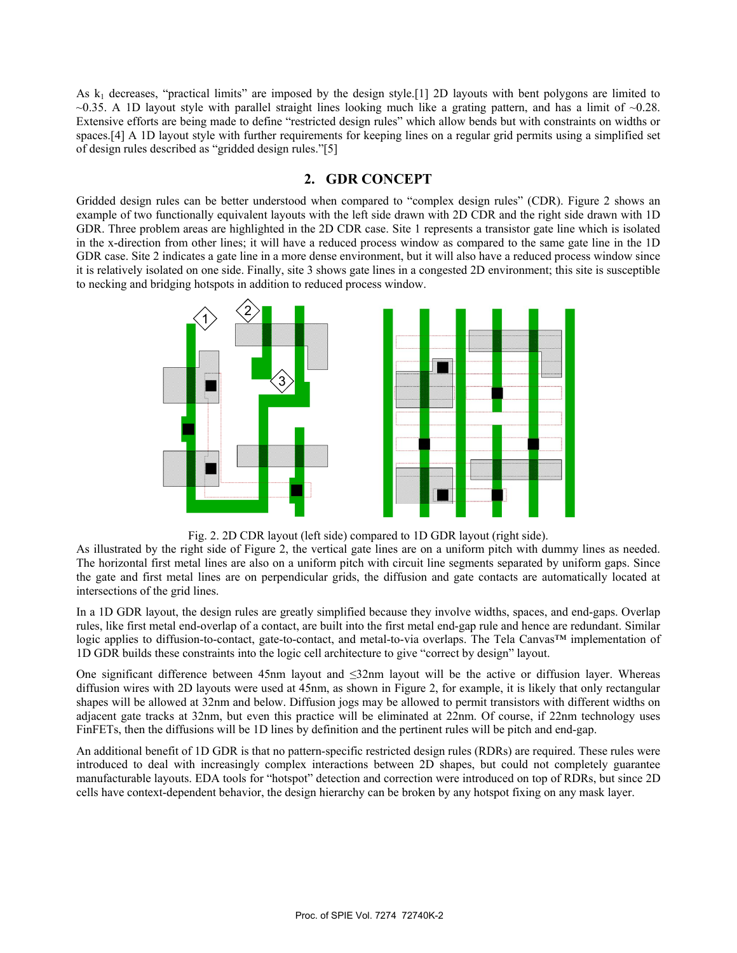As  $k_1$  decreases, "practical limits" are imposed by the design style.[1] 2D layouts with bent polygons are limited to  $\sim$ 0.35. A 1D layout style with parallel straight lines looking much like a grating pattern, and has a limit of  $\sim$ 0.28. Extensive efforts are being made to define "restricted design rules" which allow bends but with constraints on widths or spaces.[4] A 1D layout style with further requirements for keeping lines on a regular grid permits using a simplified set of design rules described as "gridded design rules."[5]

# **2. GDR CONCEPT**

Gridded design rules can be better understood when compared to "complex design rules" (CDR). Figure 2 shows an example of two functionally equivalent layouts with the left side drawn with 2D CDR and the right side drawn with 1D GDR. Three problem areas are highlighted in the 2D CDR case. Site 1 represents a transistor gate line which is isolated in the x-direction from other lines; it will have a reduced process window as compared to the same gate line in the 1D GDR case. Site 2 indicates a gate line in a more dense environment, but it will also have a reduced process window since it is relatively isolated on one side. Finally, site 3 shows gate lines in a congested 2D environment; this site is susceptible to necking and bridging hotspots in addition to reduced process window.





As illustrated by the right side of Figure 2, the vertical gate lines are on a uniform pitch with dummy lines as needed. The horizontal first metal lines are also on a uniform pitch with circuit line segments separated by uniform gaps. Since the gate and first metal lines are on perpendicular grids, the diffusion and gate contacts are automatically located at intersections of the grid lines.

In a 1D GDR layout, the design rules are greatly simplified because they involve widths, spaces, and end-gaps. Overlap rules, like first metal end-overlap of a contact, are built into the first metal end-gap rule and hence are redundant. Similar logic applies to diffusion-to-contact, gate-to-contact, and metal-to-via overlaps. The Tela Canvas™ implementation of 1D GDR builds these constraints into the logic cell architecture to give "correct by design" layout.

One significant difference between 45nm layout and ≤32nm layout will be the active or diffusion layer. Whereas diffusion wires with 2D layouts were used at 45nm, as shown in Figure 2, for example, it is likely that only rectangular shapes will be allowed at 32nm and below. Diffusion jogs may be allowed to permit transistors with different widths on adjacent gate tracks at 32nm, but even this practice will be eliminated at 22nm. Of course, if 22nm technology uses FinFETs, then the diffusions will be 1D lines by definition and the pertinent rules will be pitch and end-gap.

An additional benefit of 1D GDR is that no pattern-specific restricted design rules (RDRs) are required. These rules were introduced to deal with increasingly complex interactions between 2D shapes, but could not completely guarantee manufacturable layouts. EDA tools for "hotspot" detection and correction were introduced on top of RDRs, but since 2D cells have context-dependent behavior, the design hierarchy can be broken by any hotspot fixing on any mask layer.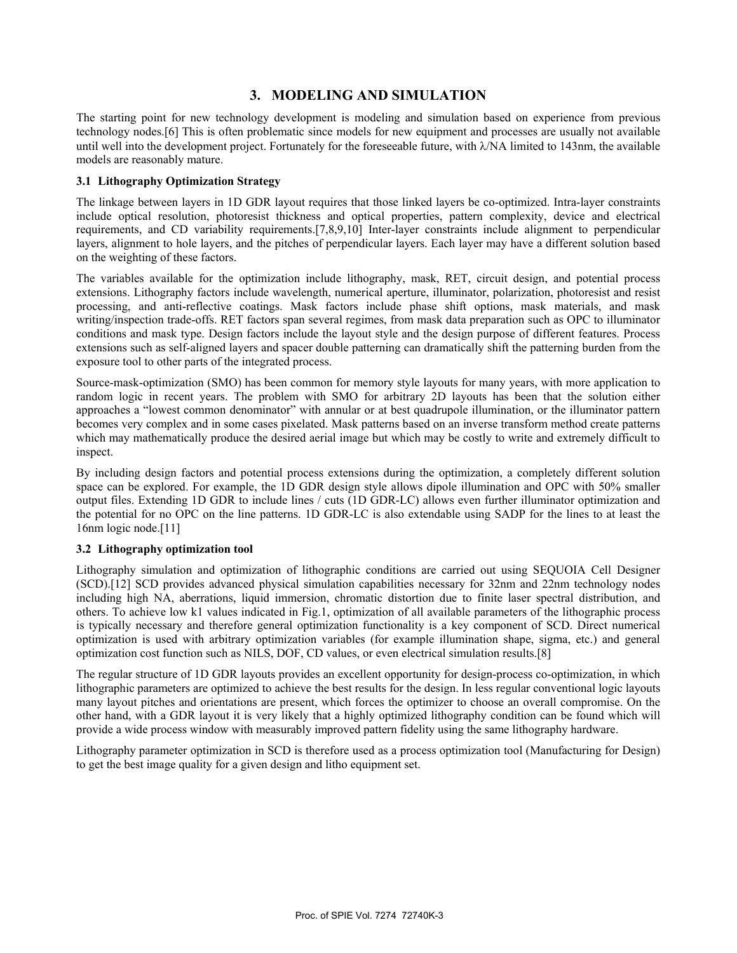# **3. MODELING AND SIMULATION**

The starting point for new technology development is modeling and simulation based on experience from previous technology nodes.[6] This is often problematic since models for new equipment and processes are usually not available until well into the development project. Fortunately for the foreseeable future, with  $\lambda$ /NA limited to 143nm, the available models are reasonably mature.

#### **3.1 Lithography Optimization Strategy**

The linkage between layers in 1D GDR layout requires that those linked layers be co-optimized. Intra-layer constraints include optical resolution, photoresist thickness and optical properties, pattern complexity, device and electrical requirements, and CD variability requirements.[7,8,9,10] Inter-layer constraints include alignment to perpendicular layers, alignment to hole layers, and the pitches of perpendicular layers. Each layer may have a different solution based on the weighting of these factors.

The variables available for the optimization include lithography, mask, RET, circuit design, and potential process extensions. Lithography factors include wavelength, numerical aperture, illuminator, polarization, photoresist and resist processing, and anti-reflective coatings. Mask factors include phase shift options, mask materials, and mask writing/inspection trade-offs. RET factors span several regimes, from mask data preparation such as OPC to illuminator conditions and mask type. Design factors include the layout style and the design purpose of different features. Process extensions such as self-aligned layers and spacer double patterning can dramatically shift the patterning burden from the exposure tool to other parts of the integrated process.

Source-mask-optimization (SMO) has been common for memory style layouts for many years, with more application to random logic in recent years. The problem with SMO for arbitrary 2D layouts has been that the solution either approaches a "lowest common denominator" with annular or at best quadrupole illumination, or the illuminator pattern becomes very complex and in some cases pixelated. Mask patterns based on an inverse transform method create patterns which may mathematically produce the desired aerial image but which may be costly to write and extremely difficult to inspect.

By including design factors and potential process extensions during the optimization, a completely different solution space can be explored. For example, the 1D GDR design style allows dipole illumination and OPC with 50% smaller output files. Extending 1D GDR to include lines / cuts (1D GDR-LC) allows even further illuminator optimization and the potential for no OPC on the line patterns. 1D GDR-LC is also extendable using SADP for the lines to at least the 16nm logic node.[11]

#### **3.2 Lithography optimization tool**

Lithography simulation and optimization of lithographic conditions are carried out using SEQUOIA Cell Designer (SCD).[12] SCD provides advanced physical simulation capabilities necessary for 32nm and 22nm technology nodes including high NA, aberrations, liquid immersion, chromatic distortion due to finite laser spectral distribution, and others. To achieve low k1 values indicated in Fig.1, optimization of all available parameters of the lithographic process is typically necessary and therefore general optimization functionality is a key component of SCD. Direct numerical optimization is used with arbitrary optimization variables (for example illumination shape, sigma, etc.) and general optimization cost function such as NILS, DOF, CD values, or even electrical simulation results.[8]

The regular structure of 1D GDR layouts provides an excellent opportunity for design-process co-optimization, in which lithographic parameters are optimized to achieve the best results for the design. In less regular conventional logic layouts many layout pitches and orientations are present, which forces the optimizer to choose an overall compromise. On the other hand, with a GDR layout it is very likely that a highly optimized lithography condition can be found which will provide a wide process window with measurably improved pattern fidelity using the same lithography hardware.

Lithography parameter optimization in SCD is therefore used as a process optimization tool (Manufacturing for Design) to get the best image quality for a given design and litho equipment set.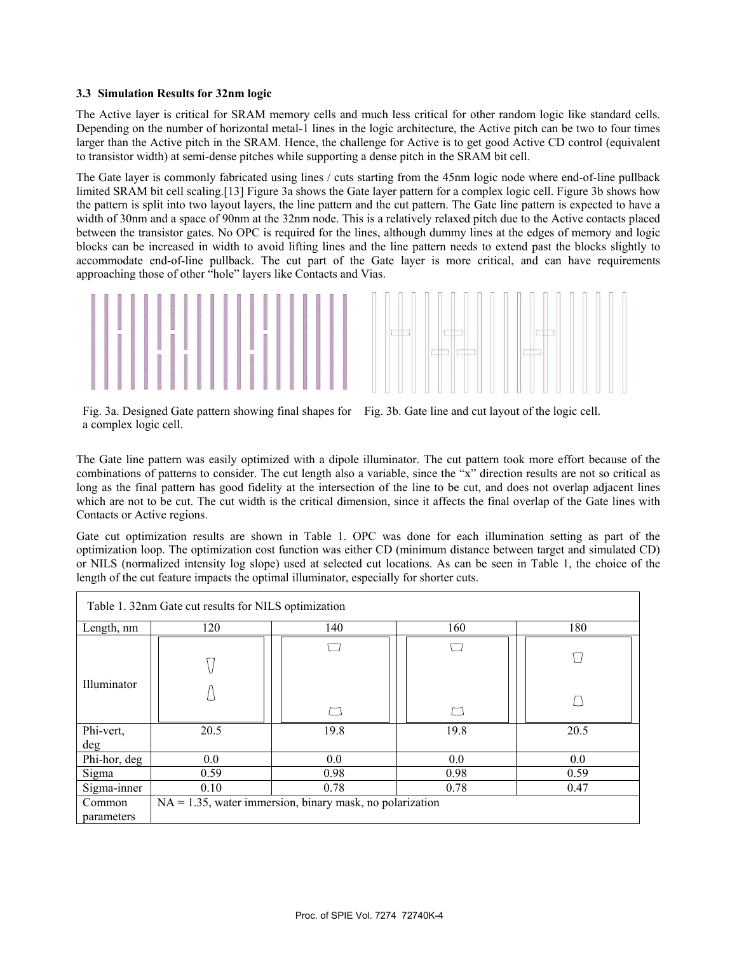#### **3.3 Simulation Results for 32nm logic**

The Active layer is critical for SRAM memory cells and much less critical for other random logic like standard cells. Depending on the number of horizontal metal-1 lines in the logic architecture, the Active pitch can be two to four times larger than the Active pitch in the SRAM. Hence, the challenge for Active is to get good Active CD control (equivalent to transistor width) at semi-dense pitches while supporting a dense pitch in the SRAM bit cell.

The Gate layer is commonly fabricated using lines / cuts starting from the 45nm logic node where end-of-line pullback limited SRAM bit cell scaling.[13] Figure 3a shows the Gate layer pattern for a complex logic cell. Figure 3b shows how the pattern is split into two layout layers, the line pattern and the cut pattern. The Gate line pattern is expected to have a width of 30nm and a space of 90nm at the 32nm node. This is a relatively relaxed pitch due to the Active contacts placed between the transistor gates. No OPC is required for the lines, although dummy lines at the edges of memory and logic blocks can be increased in width to avoid lifting lines and the line pattern needs to extend past the blocks slightly to accommodate end-of-line pullback. The cut part of the Gate layer is more critical, and can have requirements approaching those of other "hole" layers like Contacts and Vias.



Fig. 3a. Designed Gate pattern showing final shapes for Fig. 3b. Gate line and cut layout of the logic cell. a complex logic cell.

The Gate line pattern was easily optimized with a dipole illuminator. The cut pattern took more effort because of the combinations of patterns to consider. The cut length also a variable, since the "x" direction results are not so critical as long as the final pattern has good fidelity at the intersection of the line to be cut, and does not overlap adjacent lines which are not to be cut. The cut width is the critical dimension, since it affects the final overlap of the Gate lines with Contacts or Active regions.

Gate cut optimization results are shown in Table 1. OPC was done for each illumination setting as part of the optimization loop. The optimization cost function was either CD (minimum distance between target and simulated CD) or NILS (normalized intensity log slope) used at selected cut locations. As can be seen in Table 1, the choice of the length of the cut feature impacts the optimal illuminator, especially for shorter cuts.

| Table 1. 32nm Gate cut results for NILS optimization |                                                             |      |      |      |
|------------------------------------------------------|-------------------------------------------------------------|------|------|------|
| Length, nm                                           | 120                                                         | 140  | 160  | 180  |
|                                                      |                                                             |      |      |      |
| Illuminator                                          |                                                             |      |      |      |
| Phi-vert,                                            | 20.5                                                        | 19.8 | 19.8 | 20.5 |
| deg                                                  |                                                             |      |      |      |
| Phi-hor, deg                                         | 0.0                                                         | 0.0  | 0.0  | 0.0  |
| Sigma                                                | 0.59                                                        | 0.98 | 0.98 | 0.59 |
| Sigma-inner                                          | 0.10                                                        | 0.78 | 0.78 | 0.47 |
| Common<br>parameters                                 | $NA = 1.35$ , water immersion, binary mask, no polarization |      |      |      |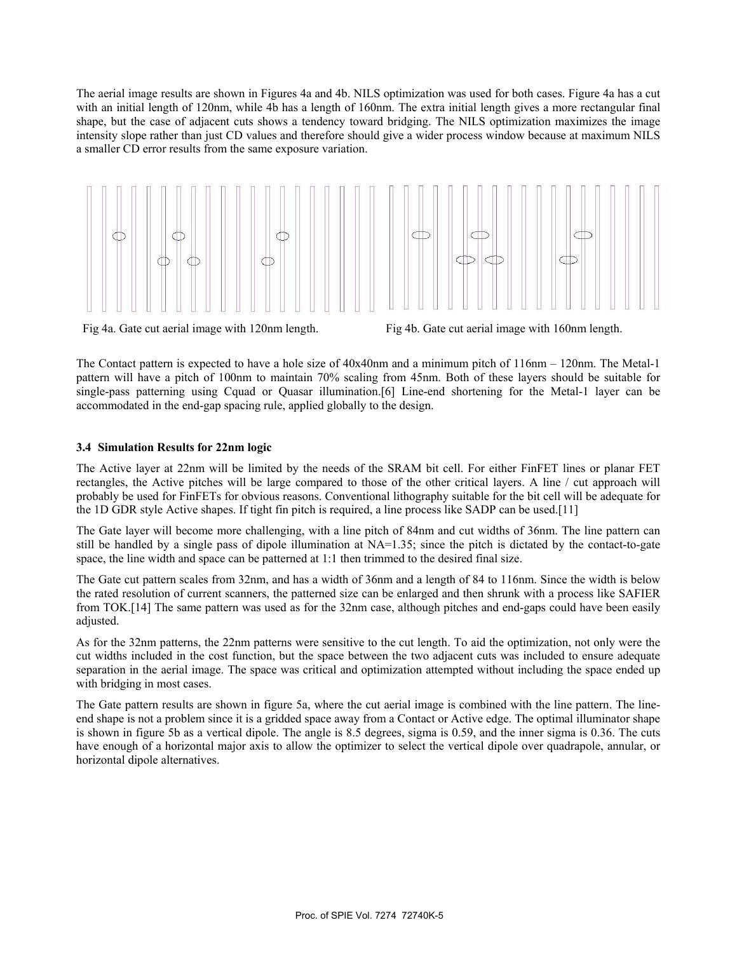The aerial image results are shown in Figures 4a and 4b. NILS optimization was used for both cases. Figure 4a has a cut with an initial length of 120nm, while 4b has a length of 160nm. The extra initial length gives a more rectangular final shape, but the case of adjacent cuts shows a tendency toward bridging. The NILS optimization maximizes the image intensity slope rather than just CD values and therefore should give a wider process window because at maximum NILS a smaller CD error results from the same exposure variation.



Fig 4a. Gate cut aerial image with 120nm length. Fig 4b. Gate cut aerial image with 160nm length.

The Contact pattern is expected to have a hole size of 40x40nm and a minimum pitch of 116nm – 120nm. The Metal-1 pattern will have a pitch of 100nm to maintain 70% scaling from 45nm. Both of these layers should be suitable for single-pass patterning using Cquad or Quasar illumination.[6] Line-end shortening for the Metal-1 layer can be accommodated in the end-gap spacing rule, applied globally to the design.

## **3.4 Simulation Results for 22nm logic**

The Active layer at 22nm will be limited by the needs of the SRAM bit cell. For either FinFET lines or planar FET rectangles, the Active pitches will be large compared to those of the other critical layers. A line / cut approach will probably be used for FinFETs for obvious reasons. Conventional lithography suitable for the bit cell will be adequate for the 1D GDR style Active shapes. If tight fin pitch is required, a line process like SADP can be used.[11]

The Gate layer will become more challenging, with a line pitch of 84nm and cut widths of 36nm. The line pattern can still be handled by a single pass of dipole illumination at NA=1.35; since the pitch is dictated by the contact-to-gate space, the line width and space can be patterned at 1:1 then trimmed to the desired final size.

The Gate cut pattern scales from 32nm, and has a width of 36nm and a length of 84 to 116nm. Since the width is below the rated resolution of current scanners, the patterned size can be enlarged and then shrunk with a process like SAFIER from TOK.[14] The same pattern was used as for the 32nm case, although pitches and end-gaps could have been easily adjusted.

As for the 32nm patterns, the 22nm patterns were sensitive to the cut length. To aid the optimization, not only were the cut widths included in the cost function, but the space between the two adjacent cuts was included to ensure adequate separation in the aerial image. The space was critical and optimization attempted without including the space ended up with bridging in most cases.

The Gate pattern results are shown in figure 5a, where the cut aerial image is combined with the line pattern. The lineend shape is not a problem since it is a gridded space away from a Contact or Active edge. The optimal illuminator shape is shown in figure 5b as a vertical dipole. The angle is 8.5 degrees, sigma is 0.59, and the inner sigma is 0.36. The cuts have enough of a horizontal major axis to allow the optimizer to select the vertical dipole over quadrapole, annular, or horizontal dipole alternatives.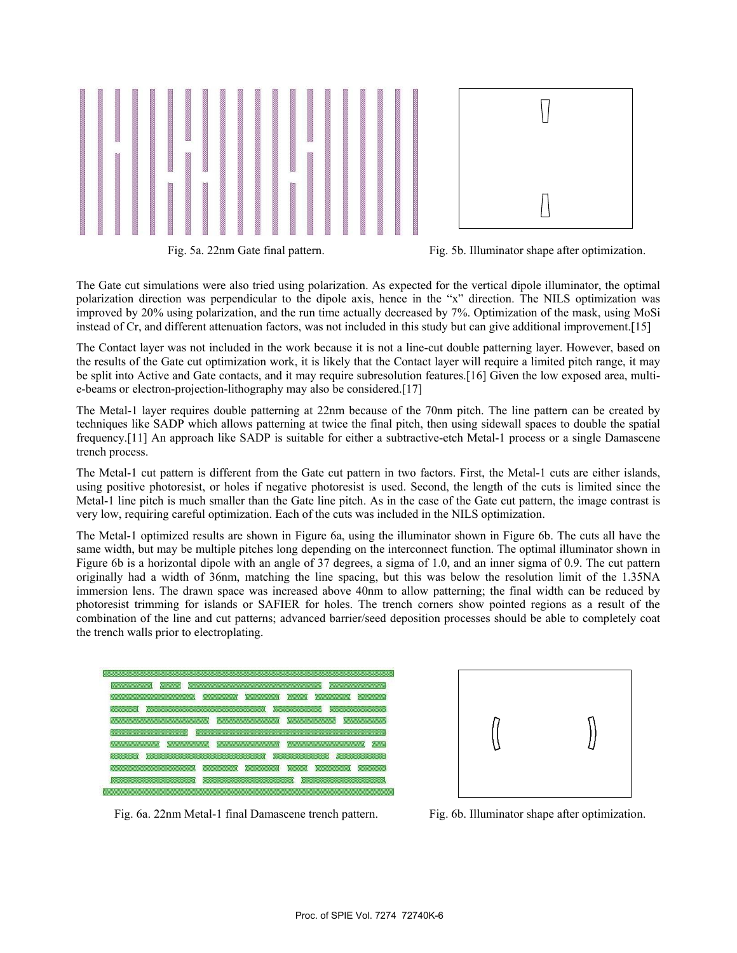

Fig. 5a. 22nm Gate final pattern. Fig. 5b. Illuminator shape after optimization.

The Gate cut simulations were also tried using polarization. As expected for the vertical dipole illuminator, the optimal polarization direction was perpendicular to the dipole axis, hence in the "x" direction. The NILS optimization was improved by 20% using polarization, and the run time actually decreased by 7%. Optimization of the mask, using MoSi instead of Cr, and different attenuation factors, was not included in this study but can give additional improvement.[15]

The Contact layer was not included in the work because it is not a line-cut double patterning layer. However, based on the results of the Gate cut optimization work, it is likely that the Contact layer will require a limited pitch range, it may be split into Active and Gate contacts, and it may require subresolution features.[16] Given the low exposed area, multie-beams or electron-projection-lithography may also be considered.[17]

The Metal-1 layer requires double patterning at 22nm because of the 70nm pitch. The line pattern can be created by techniques like SADP which allows patterning at twice the final pitch, then using sidewall spaces to double the spatial frequency.[11] An approach like SADP is suitable for either a subtractive-etch Metal-1 process or a single Damascene trench process.

The Metal-1 cut pattern is different from the Gate cut pattern in two factors. First, the Metal-1 cuts are either islands, using positive photoresist, or holes if negative photoresist is used. Second, the length of the cuts is limited since the Metal-1 line pitch is much smaller than the Gate line pitch. As in the case of the Gate cut pattern, the image contrast is very low, requiring careful optimization. Each of the cuts was included in the NILS optimization.

The Metal-1 optimized results are shown in Figure 6a, using the illuminator shown in Figure 6b. The cuts all have the same width, but may be multiple pitches long depending on the interconnect function. The optimal illuminator shown in Figure 6b is a horizontal dipole with an angle of 37 degrees, a sigma of 1.0, and an inner sigma of 0.9. The cut pattern originally had a width of 36nm, matching the line spacing, but this was below the resolution limit of the 1.35NA immersion lens. The drawn space was increased above 40nm to allow patterning; the final width can be reduced by photoresist trimming for islands or SAFIER for holes. The trench corners show pointed regions as a result of the combination of the line and cut patterns; advanced barrier/seed deposition processes should be able to completely coat the trench walls prior to electroplating.





Fig. 6a. 22nm Metal-1 final Damascene trench pattern. Fig. 6b. Illuminator shape after optimization.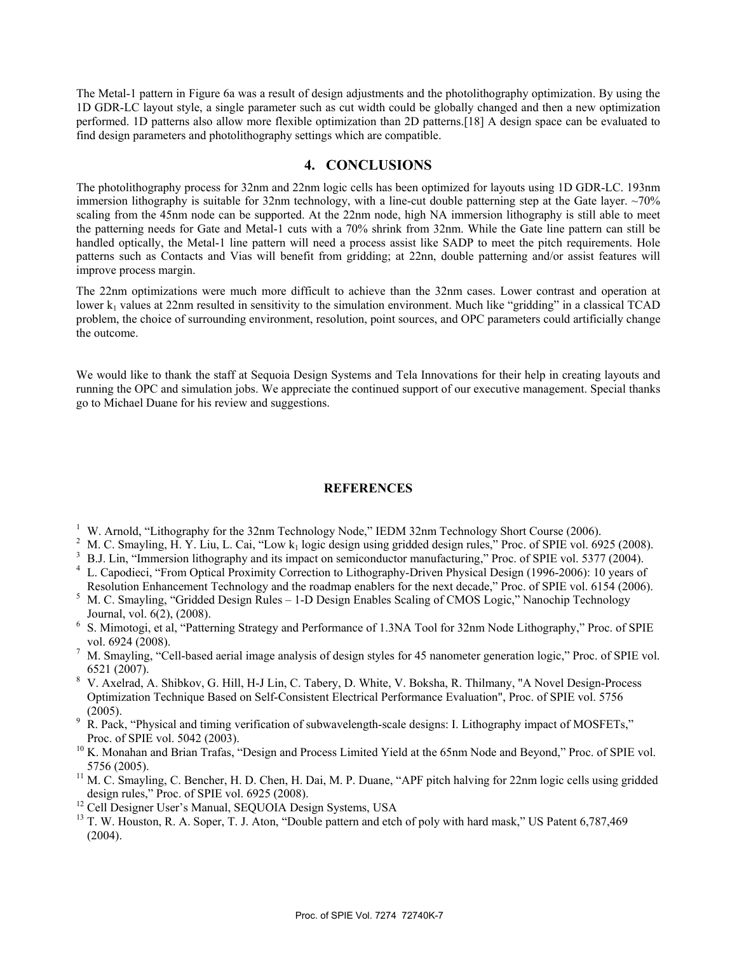The Metal-1 pattern in Figure 6a was a result of design adjustments and the photolithography optimization. By using the 1D GDR-LC layout style, a single parameter such as cut width could be globally changed and then a new optimization performed. 1D patterns also allow more flexible optimization than 2D patterns.[18] A design space can be evaluated to find design parameters and photolithography settings which are compatible.

## **4. CONCLUSIONS**

The photolithography process for 32nm and 22nm logic cells has been optimized for layouts using 1D GDR-LC. 193nm immersion lithography is suitable for 32nm technology, with a line-cut double patterning step at the Gate layer.  $\sim$ 70% scaling from the 45nm node can be supported. At the 22nm node, high NA immersion lithography is still able to meet the patterning needs for Gate and Metal-1 cuts with a 70% shrink from 32nm. While the Gate line pattern can still be handled optically, the Metal-1 line pattern will need a process assist like SADP to meet the pitch requirements. Hole patterns such as Contacts and Vias will benefit from gridding; at 22nn, double patterning and/or assist features will improve process margin.

The 22nm optimizations were much more difficult to achieve than the 32nm cases. Lower contrast and operation at lower  $k_1$  values at 22nm resulted in sensitivity to the simulation environment. Much like "gridding" in a classical TCAD problem, the choice of surrounding environment, resolution, point sources, and OPC parameters could artificially change the outcome.

We would like to thank the staff at Sequoia Design Systems and Tela Innovations for their help in creating layouts and running the OPC and simulation jobs. We appreciate the continued support of our executive management. Special thanks go to Michael Duane for his review and suggestions.

#### **REFERENCES**

- 
- 
- 
- <sup>1</sup> W. Arnold, "Lithography for the 32nm Technology Node," IEDM 32nm Technology Short Course (2006).<br><sup>2</sup> M. C. Smayling, H. Y. Liu, L. Cai, "Low  $k_1$  logic design using gridded design rules," Proc. of SPIE vol. 6925 (200 Resolution Enhancement Technology and the roadmap enablers for the next decade," Proc. of SPIE vol. 6154 (2006).<br><sup>5</sup> M. C. Smayling, "Gridded Design Rules – 1-D Design Enables Scaling of CMOS Logic," Nanochip Technology
- 
- Journal, vol. 6(2), (2008). 6 S. Mimotogi, et al, "Patterning Strategy and Performance of 1.3NA Tool for 32nm Node Lithography," Proc. of SPIE
- vol. 6924 (2008).<br><sup>7</sup> M. Smayling, "Cell-based aerial image analysis of design styles for 45 nanometer generation logic," Proc. of SPIE vol.
- 6521 (2007). 8 V. Axelrad, A. Shibkov, G. Hill, H-J Lin, C. Tabery, D. White, V. Boksha, R. Thilmany, "A Novel Design-Process Optimization Technique Based on Self-Consistent Electrical Performance Evaluation", Proc. of SPIE vol. 5756
- (2005). 9 R. Pack, "Physical and timing verification of subwavelength-scale designs: I. Lithography impact of MOSFETs," Proc. of SPIE vol. 5042 (2003).
- $10$  K. Monahan and Brian Trafas, "Design and Process Limited Yield at the 65nm Node and Beyond," Proc. of SPIE vol.
- 5756 (2005).<br><sup>11</sup> M. C. Smayling, C. Bencher, H. D. Chen, H. Dai, M. P. Duane, "APF pitch halving for 22nm logic cells using gridded design rules," Proc. of SPIE vol. 6925 (2008).
- 
- design rules, Troc. of SPIE vol. 6925 (2008).<br><sup>12</sup> Cell Designer User's Manual, SEQUOIA Design Systems, USA <sup>13</sup> T. W. Houston, R. A. Soper, T. J. Aton, "Double pattern and etch of poly with hard mask," US Patent 6,787,46 (2004).